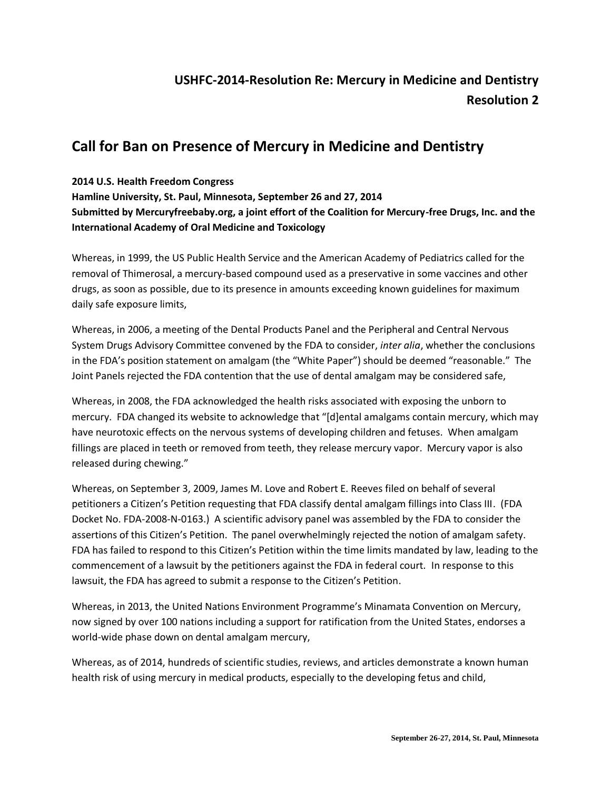## **USHFC-2014-Resolution Re: Mercury in Medicine and Dentistry Resolution 2**

## **Call for Ban on Presence of Mercury in Medicine and Dentistry**

## **2014 U.S. Health Freedom Congress**

**Hamline University, St. Paul, Minnesota, September 26 and 27, 2014 Submitted by Mercuryfreebaby.org, a joint effort of the Coalition for Mercury-free Drugs, Inc. and the International Academy of Oral Medicine and Toxicology**

Whereas, in 1999, the US Public Health Service and the American Academy of Pediatrics called for the removal of Thimerosal, a mercury-based compound used as a preservative in some vaccines and other drugs, as soon as possible, due to its presence in amounts exceeding known guidelines for maximum daily safe exposure limits,

Whereas, in 2006, a meeting of the Dental Products Panel and the Peripheral and Central Nervous System Drugs Advisory Committee convened by the FDA to consider, *inter alia*, whether the conclusions in the FDA's position statement on amalgam (the "White Paper") should be deemed "reasonable." The Joint Panels rejected the FDA contention that the use of dental amalgam may be considered safe,

Whereas, in 2008, the FDA acknowledged the health risks associated with exposing the unborn to mercury. FDA changed its website to acknowledge that "[d]ental amalgams contain mercury, which may have neurotoxic effects on the nervous systems of developing children and fetuses. When amalgam fillings are placed in teeth or removed from teeth, they release mercury vapor. Mercury vapor is also released during chewing."

Whereas, on September 3, 2009, James M. Love and Robert E. Reeves filed on behalf of several petitioners a Citizen's Petition requesting that FDA classify dental amalgam fillings into Class III. (FDA Docket No. FDA-2008-N-0163.) A scientific advisory panel was assembled by the FDA to consider the assertions of this Citizen's Petition. The panel overwhelmingly rejected the notion of amalgam safety. FDA has failed to respond to this Citizen's Petition within the time limits mandated by law, leading to the commencement of a lawsuit by the petitioners against the FDA in federal court. In response to this lawsuit, the FDA has agreed to submit a response to the Citizen's Petition.

Whereas, in 2013, the United Nations Environment Programme's Minamata Convention on Mercury, now signed by over 100 nations including a support for ratification from the United States, endorses a world-wide phase down on dental amalgam mercury,

Whereas, as of 2014, hundreds of scientific studies, reviews, and articles demonstrate a known human health risk of using mercury in medical products, especially to the developing fetus and child,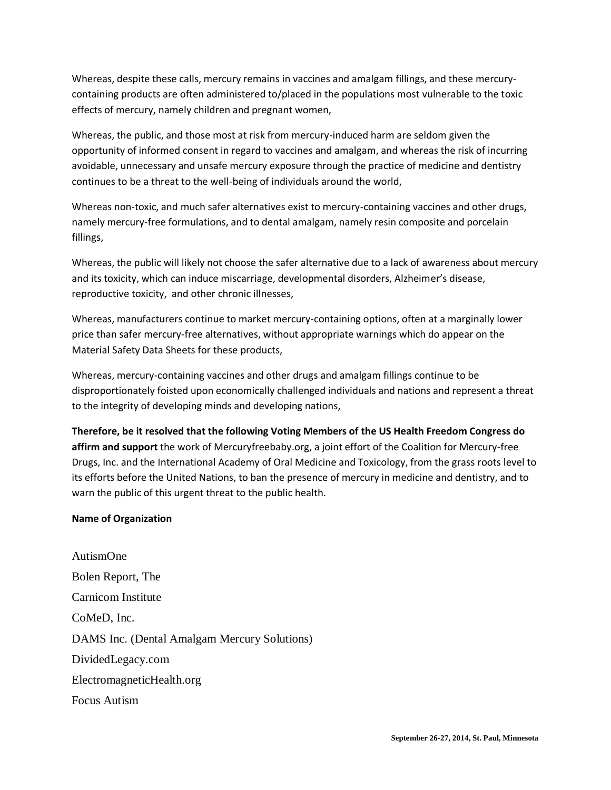Whereas, despite these calls, mercury remains in vaccines and amalgam fillings, and these mercurycontaining products are often administered to/placed in the populations most vulnerable to the toxic effects of mercury, namely children and pregnant women,

Whereas, the public, and those most at risk from mercury-induced harm are seldom given the opportunity of informed consent in regard to vaccines and amalgam, and whereas the risk of incurring avoidable, unnecessary and unsafe mercury exposure through the practice of medicine and dentistry continues to be a threat to the well-being of individuals around the world,

Whereas non-toxic, and much safer alternatives exist to mercury-containing vaccines and other drugs, namely mercury-free formulations, and to dental amalgam, namely resin composite and porcelain fillings,

Whereas, the public will likely not choose the safer alternative due to a lack of awareness about mercury and its toxicity, which can induce miscarriage, developmental disorders, Alzheimer's disease, reproductive toxicity, and other chronic illnesses,

Whereas, manufacturers continue to market mercury-containing options, often at a marginally lower price than safer mercury-free alternatives, without appropriate warnings which do appear on the Material Safety Data Sheets for these products,

Whereas, mercury-containing vaccines and other drugs and amalgam fillings continue to be disproportionately foisted upon economically challenged individuals and nations and represent a threat to the integrity of developing minds and developing nations,

**Therefore, be it resolved that the following Voting Members of the US Health Freedom Congress do affirm and support** the work of Mercuryfreebaby.org, a joint effort of the Coalition for Mercury-free Drugs, Inc. and the International Academy of Oral Medicine and Toxicology, from the grass roots level to its efforts before the United Nations, to ban the presence of mercury in medicine and dentistry, and to warn the public of this urgent threat to the public health.

## **Name of Organization**

AutismOne Bolen Report, The Carnicom Institute CoMeD, Inc. DAMS Inc. (Dental Amalgam Mercury Solutions) DividedLegacy.com ElectromagneticHealth.org Focus Autism